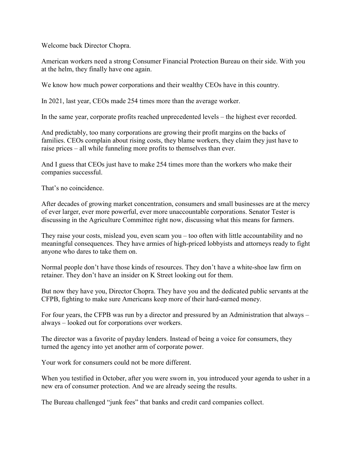Welcome back Director Chopra.

American workers need a strong Consumer Financial Protection Bureau on their side. With you at the helm, they finally have one again.

We know how much power corporations and their wealthy CEOs have in this country.

In 2021, last year, CEOs made 254 times more than the average worker.

In the same year, corporate profits reached unprecedented levels – the highest ever recorded.

And predictably, too many corporations are growing their profit margins on the backs of families. CEOs complain about rising costs, they blame workers, they claim they just have to raise prices – all while funneling more profits to themselves than ever.

And I guess that CEOs just have to make 254 times more than the workers who make their companies successful.

That's no coincidence.

After decades of growing market concentration, consumers and small businesses are at the mercy of ever larger, ever more powerful, ever more unaccountable corporations. Senator Tester is discussing in the Agriculture Committee right now, discussing what this means for farmers.

They raise your costs, mislead you, even scam you – too often with little accountability and no meaningful consequences. They have armies of high-priced lobbyists and attorneys ready to fight anyone who dares to take them on.

Normal people don't have those kinds of resources. They don't have a white-shoe law firm on retainer. They don't have an insider on K Street looking out for them.

But now they have you, Director Chopra. They have you and the dedicated public servants at the CFPB, fighting to make sure Americans keep more of their hard-earned money.

For four years, the CFPB was run by a director and pressured by an Administration that always – always – looked out for corporations over workers.

The director was a favorite of payday lenders. Instead of being a voice for consumers, they turned the agency into yet another arm of corporate power.

Your work for consumers could not be more different.

When you testified in October, after you were sworn in, you introduced your agenda to usher in a new era of consumer protection. And we are already seeing the results.

The Bureau challenged "junk fees" that banks and credit card companies collect.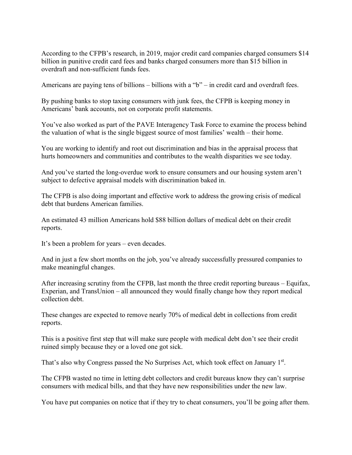According to the CFPB's research, in 2019, major credit card companies charged consumers \$14 billion in punitive credit card fees and banks charged consumers more than \$15 billion in overdraft and non-sufficient funds fees.

Americans are paying tens of billions – billions with a "b" – in credit card and overdraft fees.

By pushing banks to stop taxing consumers with junk fees, the CFPB is keeping money in Americans' bank accounts, not on corporate profit statements.

You've also worked as part of the PAVE Interagency Task Force to examine the process behind the valuation of what is the single biggest source of most families' wealth – their home.

You are working to identify and root out discrimination and bias in the appraisal process that hurts homeowners and communities and contributes to the wealth disparities we see today.

And you've started the long-overdue work to ensure consumers and our housing system aren't subject to defective appraisal models with discrimination baked in.

The CFPB is also doing important and effective work to address the growing crisis of medical debt that burdens American families.

An estimated 43 million Americans hold \$88 billion dollars of medical debt on their credit reports.

It's been a problem for years – even decades.

And in just a few short months on the job, you've already successfully pressured companies to make meaningful changes.

After increasing scrutiny from the CFPB, last month the three credit reporting bureaus – Equifax, Experian, and TransUnion – all announced they would finally change how they report medical collection debt.

These changes are expected to remove nearly 70% of medical debt in collections from credit reports.

This is a positive first step that will make sure people with medical debt don't see their credit ruined simply because they or a loved one got sick.

That's also why Congress passed the No Surprises Act, which took effect on January 1st.

The CFPB wasted no time in letting debt collectors and credit bureaus know they can't surprise consumers with medical bills, and that they have new responsibilities under the new law.

You have put companies on notice that if they try to cheat consumers, you'll be going after them.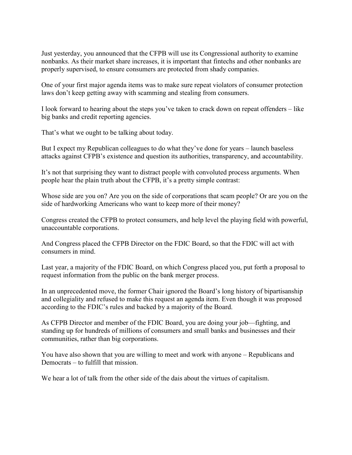Just yesterday, you announced that the CFPB will use its Congressional authority to examine nonbanks. As their market share increases, it is important that fintechs and other nonbanks are properly supervised, to ensure consumers are protected from shady companies.

One of your first major agenda items was to make sure repeat violators of consumer protection laws don't keep getting away with scamming and stealing from consumers.

I look forward to hearing about the steps you've taken to crack down on repeat offenders – like big banks and credit reporting agencies.

That's what we ought to be talking about today.

But I expect my Republican colleagues to do what they've done for years – launch baseless attacks against CFPB's existence and question its authorities, transparency, and accountability.

It's not that surprising they want to distract people with convoluted process arguments. When people hear the plain truth about the CFPB, it's a pretty simple contrast:

Whose side are you on? Are you on the side of corporations that scam people? Or are you on the side of hardworking Americans who want to keep more of their money?

Congress created the CFPB to protect consumers, and help level the playing field with powerful, unaccountable corporations.

And Congress placed the CFPB Director on the FDIC Board, so that the FDIC will act with consumers in mind.

Last year, a majority of the FDIC Board, on which Congress placed you, put forth a proposal to request information from the public on the bank merger process.

In an unprecedented move, the former Chair ignored the Board's long history of bipartisanship and collegiality and refused to make this request an agenda item. Even though it was proposed according to the FDIC's rules and backed by a majority of the Board.

As CFPB Director and member of the FDIC Board, you are doing your job—fighting, and standing up for hundreds of millions of consumers and small banks and businesses and their communities, rather than big corporations.

You have also shown that you are willing to meet and work with anyone – Republicans and Democrats – to fulfill that mission.

We hear a lot of talk from the other side of the dais about the virtues of capitalism.